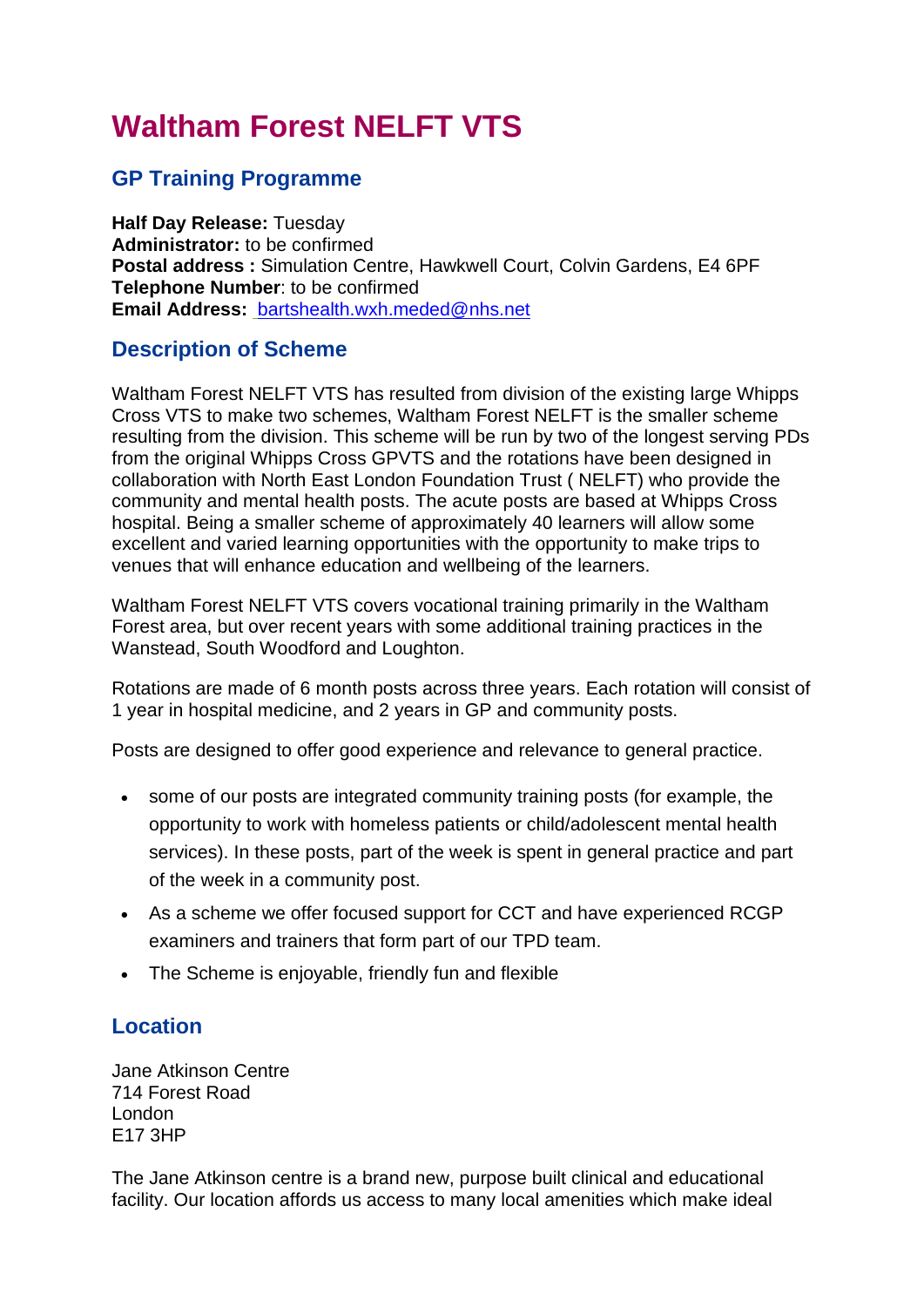# **Waltham Forest NELFT VTS**

### **GP Training Programme**

**Half Day Release:** Tuesday **Administrator:** to be confirmed **Postal address :** Simulation Centre, Hawkwell Court, Colvin Gardens, E4 6PF **Telephone Number**: to be confirmed **Email Address:** [bartshealth.wxh.meded@nhs.net](mailto:bartshealth.wxh.meded@nhs.net)

#### **Description of Scheme**

Waltham Forest NELFT VTS has resulted from division of the existing large Whipps Cross VTS to make two schemes, Waltham Forest NELFT is the smaller scheme resulting from the division. This scheme will be run by two of the longest serving PDs from the original Whipps Cross GPVTS and the rotations have been designed in collaboration with North East London Foundation Trust ( NELFT) who provide the community and mental health posts. The acute posts are based at Whipps Cross hospital. Being a smaller scheme of approximately 40 learners will allow some excellent and varied learning opportunities with the opportunity to make trips to venues that will enhance education and wellbeing of the learners.

Waltham Forest NELFT VTS covers vocational training primarily in the Waltham Forest area, but over recent years with some additional training practices in the Wanstead, South Woodford and Loughton.

Rotations are made of 6 month posts across three years. Each rotation will consist of 1 year in hospital medicine, and 2 years in GP and community posts.

Posts are designed to offer good experience and relevance to general practice.

- some of our posts are integrated community training posts (for example, the opportunity to work with homeless patients or child/adolescent mental health services). In these posts, part of the week is spent in general practice and part of the week in a community post.
- As a scheme we offer focused support for CCT and have experienced RCGP examiners and trainers that form part of our TPD team.
- The Scheme is enjoyable, friendly fun and flexible

#### **Location**

Jane Atkinson Centre 714 Forest Road London E17 3HP

The Jane Atkinson centre is a brand new, purpose built clinical and educational facility. Our location affords us access to many local amenities which make ideal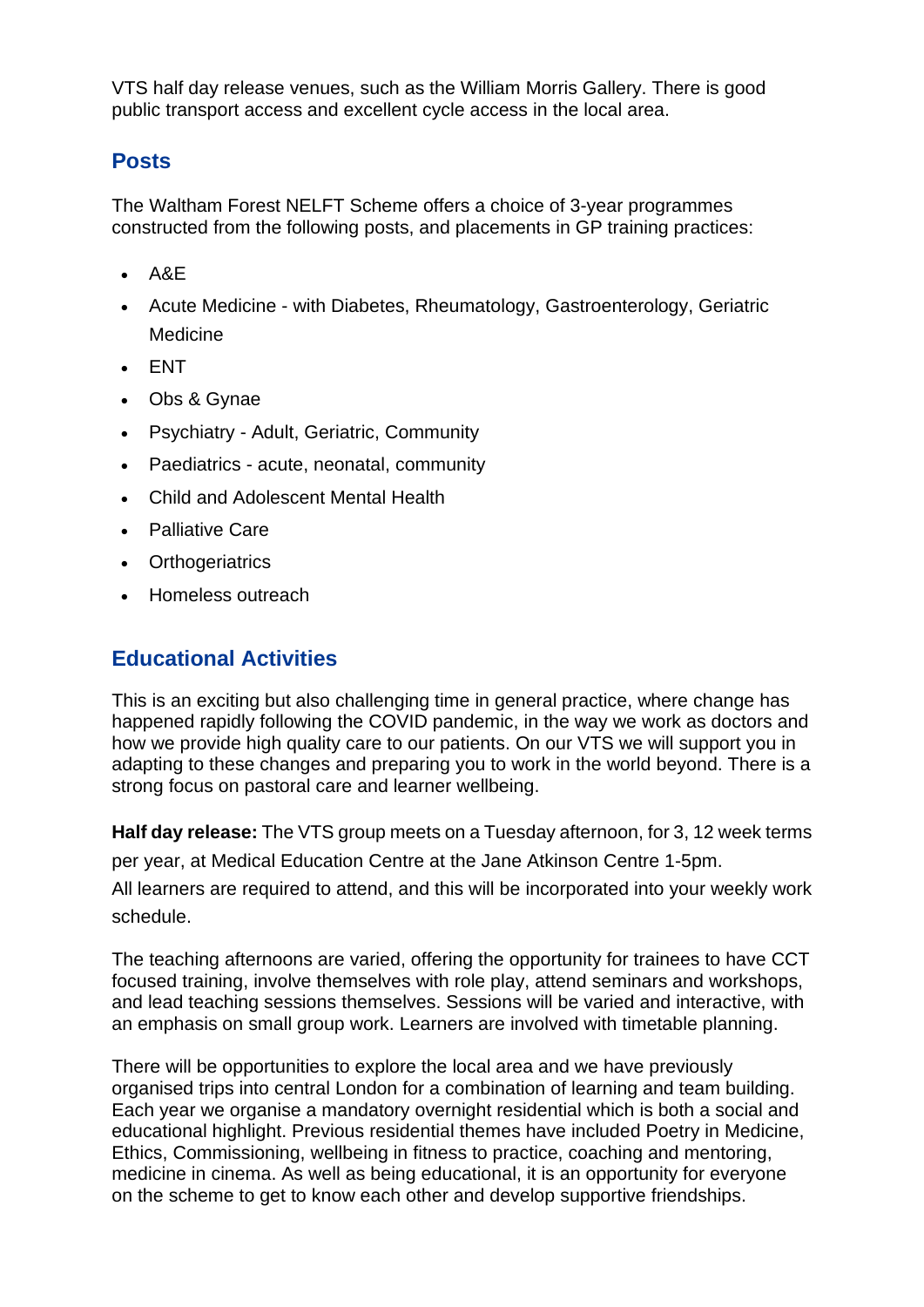VTS half day release venues, such as the William Morris Gallery. There is good public transport access and excellent cycle access in the local area.

### **Posts**

The Waltham Forest NELFT Scheme offers a choice of 3-year programmes constructed from the following posts, and placements in GP training practices:

- A&E
- Acute Medicine with Diabetes, Rheumatology, Gastroenterology, Geriatric **Medicine**
- ENT
- Obs & Gynae
- Psychiatry Adult, Geriatric, Community
- Paediatrics acute, neonatal, community
- Child and Adolescent Mental Health
- Palliative Care
- Orthogeriatrics
- Homeless outreach

#### **Educational Activities**

This is an exciting but also challenging time in general practice, where change has happened rapidly following the COVID pandemic, in the way we work as doctors and how we provide high quality care to our patients. On our VTS we will support you in adapting to these changes and preparing you to work in the world beyond. There is a strong focus on pastoral care and learner wellbeing.

**Half day release:** The VTS group meets on a Tuesday afternoon, for 3, 12 week terms per year, at Medical Education Centre at the Jane Atkinson Centre 1-5pm. All learners are required to attend, and this will be incorporated into your weekly work

schedule.

The teaching afternoons are varied, offering the opportunity for trainees to have CCT focused training, involve themselves with role play, attend seminars and workshops, and lead teaching sessions themselves. Sessions will be varied and interactive, with an emphasis on small group work. Learners are involved with timetable planning.

There will be opportunities to explore the local area and we have previously organised trips into central London for a combination of learning and team building. Each year we organise a mandatory overnight residential which is both a social and educational highlight. Previous residential themes have included Poetry in Medicine, Ethics, Commissioning, wellbeing in fitness to practice, coaching and mentoring, medicine in cinema. As well as being educational, it is an opportunity for everyone on the scheme to get to know each other and develop supportive friendships.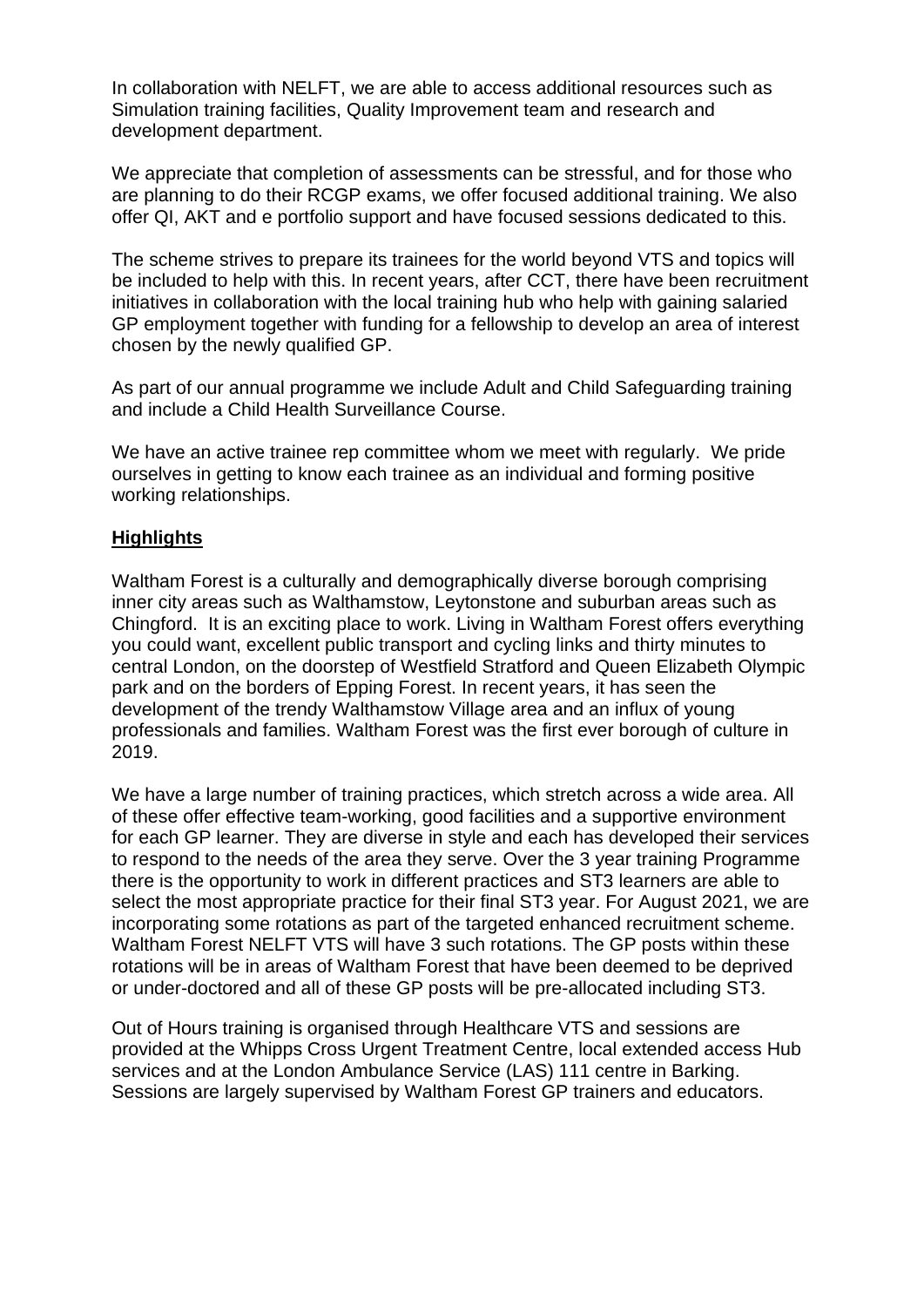In collaboration with NELFT, we are able to access additional resources such as Simulation training facilities, Quality Improvement team and research and development department.

We appreciate that completion of assessments can be stressful, and for those who are planning to do their RCGP exams, we offer focused additional training. We also offer QI, AKT and e portfolio support and have focused sessions dedicated to this.

The scheme strives to prepare its trainees for the world beyond VTS and topics will be included to help with this. In recent years, after CCT, there have been recruitment initiatives in collaboration with the local training hub who help with gaining salaried GP employment together with funding for a fellowship to develop an area of interest chosen by the newly qualified GP.

As part of our annual programme we include Adult and Child Safeguarding training and include a Child Health Surveillance Course.

We have an active trainee rep committee whom we meet with regularly. We pride ourselves in getting to know each trainee as an individual and forming positive working relationships.

#### **Highlights**

Waltham Forest is a culturally and demographically diverse borough comprising inner city areas such as Walthamstow, Leytonstone and suburban areas such as Chingford. It is an exciting place to work. Living in Waltham Forest offers everything you could want, excellent public transport and cycling links and thirty minutes to central London, on the doorstep of Westfield Stratford and Queen Elizabeth Olympic park and on the borders of Epping Forest. In recent years, it has seen the development of the trendy Walthamstow Village area and an influx of young professionals and families. Waltham Forest was the first ever borough of culture in 2019.

We have a large number of training practices, which stretch across a wide area. All of these offer effective team-working, good facilities and a supportive environment for each GP learner. They are diverse in style and each has developed their services to respond to the needs of the area they serve. Over the 3 year training Programme there is the opportunity to work in different practices and ST3 learners are able to select the most appropriate practice for their final ST3 year. For August 2021, we are incorporating some rotations as part of the targeted enhanced recruitment scheme. Waltham Forest NELFT VTS will have 3 such rotations. The GP posts within these rotations will be in areas of Waltham Forest that have been deemed to be deprived or under-doctored and all of these GP posts will be pre-allocated including ST3.

Out of Hours training is organised through Healthcare VTS and sessions are provided at the Whipps Cross Urgent Treatment Centre, local extended access Hub services and at the London Ambulance Service (LAS) 111 centre in Barking. Sessions are largely supervised by Waltham Forest GP trainers and educators.